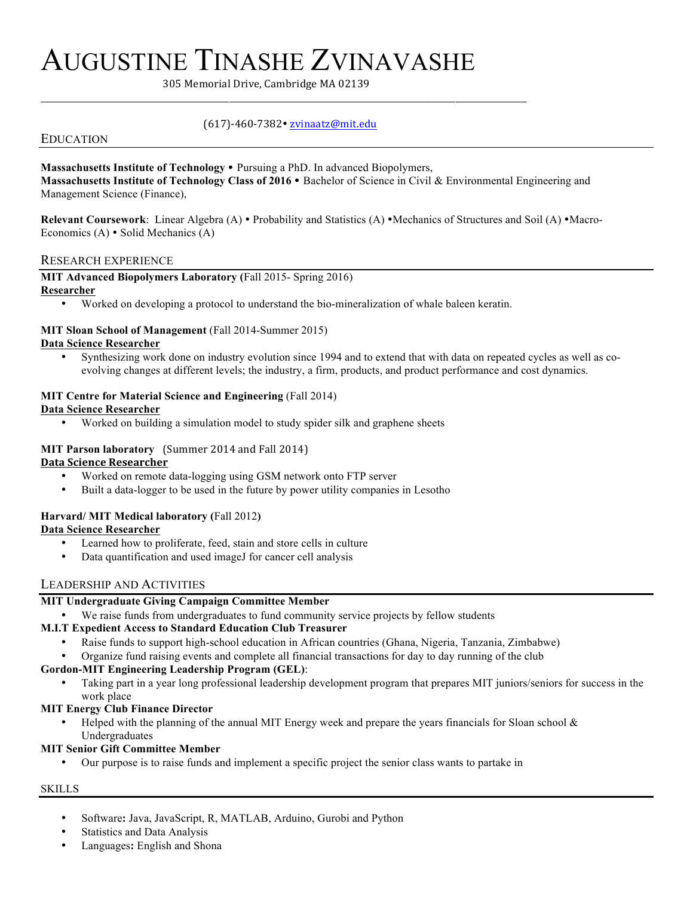# AUGUSTINE TINASHE ZVINAVASHE

305 Memorial Drive, Cambridge MA 02139

## EDUCATION

# (617)-460-7382 zvinaatz@mit.edu

\_\_\_\_\_\_\_\_\_\_\_\_\_\_\_\_\_\_\_\_\_\_\_\_\_\_\_\_\_\_\_\_\_\_\_\_\_\_\_\_\_\_\_\_\_\_\_\_\_\_\_\_\_\_\_\_\_\_\_\_\_\_\_\_\_\_\_\_\_\_\_\_\_\_\_\_\_\_\_\_\_\_\_\_\_\_\_\_\_\_\_\_\_\_\_\_\_\_\_\_\_\_\_\_\_\_\_\_\_\_\_\_\_\_\_\_

# Massachusetts Institute of Technology . Pursuing a PhD. In advanced Biopolymers,

**Massachusetts Institute of Technology Class of 2016 • Bachelor of Science in Civil & Environmental Engineering and** Management Science (Finance),

**Relevant Coursework**: Linear Algebra (A) • Probability and Statistics (A) • Mechanics of Structures and Soil (A) • Macro-Economics  $(A)$  • Solid Mechanics  $(A)$ 

#### RESEARCH EXPERIENCE

#### **MIT Advanced Biopolymers Laboratory (**Fall 2015- Spring 2016) **Researcher**

• Worked on developing a protocol to understand the bio-mineralization of whale baleen keratin.

#### **MIT Sloan School of Management** (Fall 2014-Summer 2015) **Data Science Researcher**

• Synthesizing work done on industry evolution since 1994 and to extend that with data on repeated cycles as well as coevolving changes at different levels; the industry, a firm, products, and product performance and cost dynamics.

#### **MIT Centre for Material Science and Engineering** (Fall 2014)

#### **Data Science Researcher**

• Worked on building a simulation model to study spider silk and graphene sheets

# **MIT Parson laboratory** (Summer 2014 and Fall 2014)

#### **Data Science Researcher**

- Worked on remote data-logging using GSM network onto FTP server
- Built a data-logger to be used in the future by power utility companies in Lesotho

#### **Harvard/ MIT Medical laboratory (**Fall 2012**)**

#### **Data Science Researcher**

- Learned how to proliferate, feed, stain and store cells in culture
- Data quantification and used imageJ for cancer cell analysis

#### LEADERSHIP AND ACTIVITIES

#### **MIT Undergraduate Giving Campaign Committee Member**

We raise funds from undergraduates to fund community service projects by fellow students

#### **M.I.T Expedient Access to Standard Education Club Treasurer**

- Raise funds to support high-school education in African countries (Ghana, Nigeria, Tanzania, Zimbabwe)
- Organize fund raising events and complete all financial transactions for day to day running of the club

#### **Gordon-MIT Engineering Leadership Program (GEL)**:

• Taking part in a year long professional leadership development program that prepares MIT juniors/seniors for success in the work place

#### **MIT Energy Club Finance Director**

Helped with the planning of the annual MIT Energy week and prepare the years financials for Sloan school & Undergraduates

#### **MIT Senior Gift Committee Member**

• Our purpose is to raise funds and implement a specific project the senior class wants to partake in

# SKILLS

- Software**:** Java, JavaScript, R, MATLAB, Arduino, Gurobi and Python
- Statistics and Data Analysis
- Languages**:** English and Shona